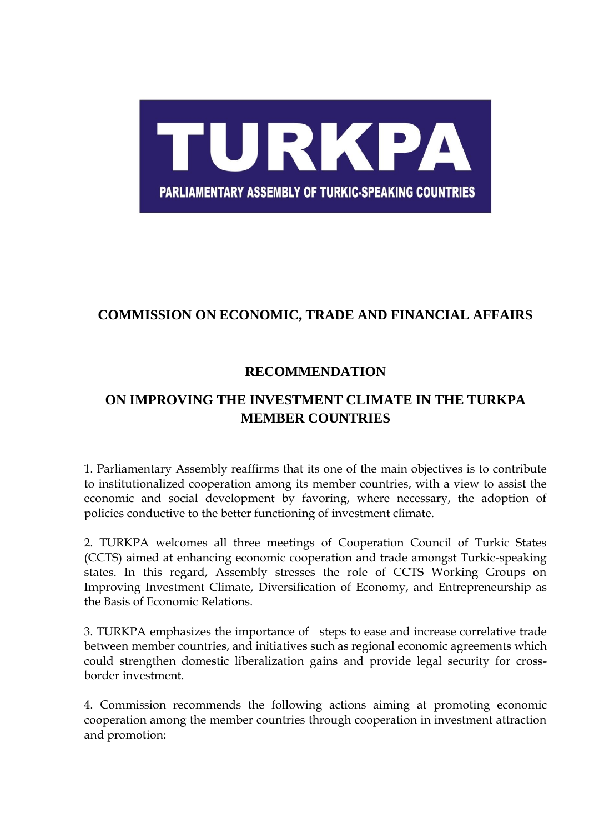

## **COMMISSION ON ECONOMIC, TRADE AND FINANCIAL AFFAIRS**

## **RECOMMENDATION**

## **ON IMPROVING THE INVESTMENT CLIMATE IN THE TURKPA MEMBER COUNTRIES**

1. Parliamentary Assembly reaffirms that its one of the main objectives is to contribute to institutionalized cooperation among its member countries, with a view to assist the economic and social development by favoring, where necessary, the adoption of policies conductive to the better functioning of investment climate.

2. TURKPA welcomes all three meetings of Cooperation Council of Turkic States (CCTS) aimed at enhancing economic cooperation and trade amongst Turkic-speaking states. In this regard, Assembly stresses the role of CCTS Working Groups on Improving Investment Climate, Diversification of Economy, and Entrepreneurship as the Basis of Economic Relations.

3. TURKPA emphasizes the importance of steps to ease and increase correlative trade between member countries, and initiatives such as regional economic agreements which could strengthen domestic liberalization gains and provide legal security for crossborder investment.

4. Commission recommends the following actions aiming at promoting economic cooperation among the member countries through cooperation in investment attraction and promotion: